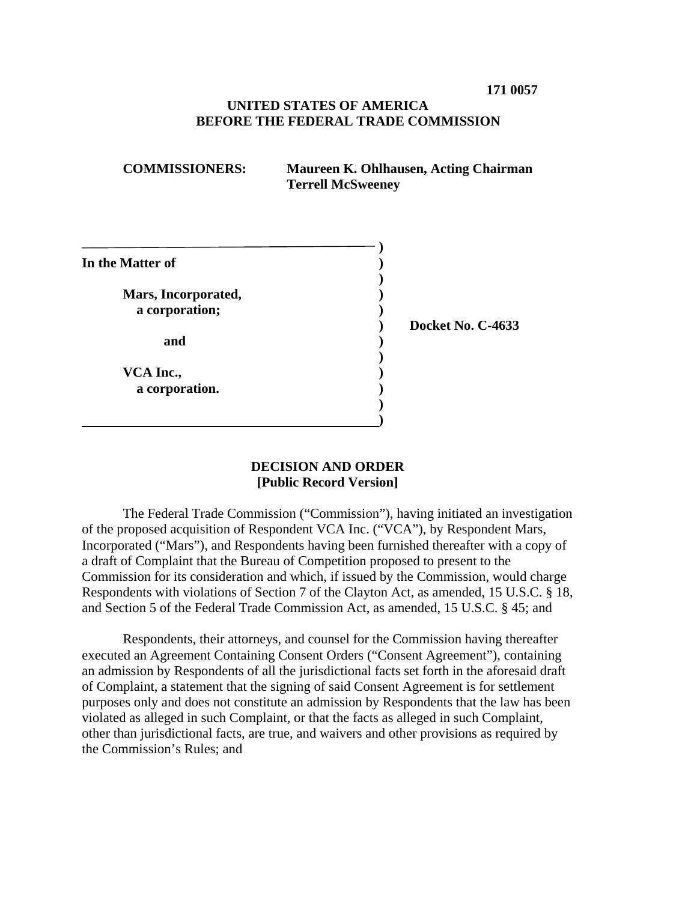### **UNITED STATES OF AMERICA BEFORE THE FEDERAL TRADE COMMISSION**

| <b>COMMISSIONERS:</b> | Maureen K. Ohlhausen, Acting Chairman |
|-----------------------|---------------------------------------|
|                       | <b>Terrell McSweeney</b>              |

| In the Matter of                      |  |
|---------------------------------------|--|
| Mars, Incorporated,<br>a corporation; |  |
| and                                   |  |
| VCA Inc.,<br>a corporation.           |  |
|                                       |  |

**) Docket No. C-4633** 

#### **DECISION AND ORDER [Public Record Version]**

 of the proposed acquisition of Respondent VCA Inc. ("VCA"), by Respondent Mars, a draft of Complaint that the Bureau of Competition proposed to present to the The Federal Trade Commission ("Commission"), having initiated an investigation Incorporated ("Mars"), and Respondents having been furnished thereafter with a copy of Commission for its consideration and which, if issued by the Commission, would charge Respondents with violations of Section 7 of the Clayton Act, as amended, 15 U.S.C. § 18, and Section 5 of the Federal Trade Commission Act, as amended, 15 U.S.C. § 45; and

Respondents, their attorneys, and counsel for the Commission having thereafter executed an Agreement Containing Consent Orders ("Consent Agreement"), containing an admission by Respondents of all the jurisdictional facts set forth in the aforesaid draft of Complaint, a statement that the signing of said Consent Agreement is for settlement purposes only and does not constitute an admission by Respondents that the law has been violated as alleged in such Complaint, or that the facts as alleged in such Complaint, other than jurisdictional facts, are true, and waivers and other provisions as required by the Commission's Rules; and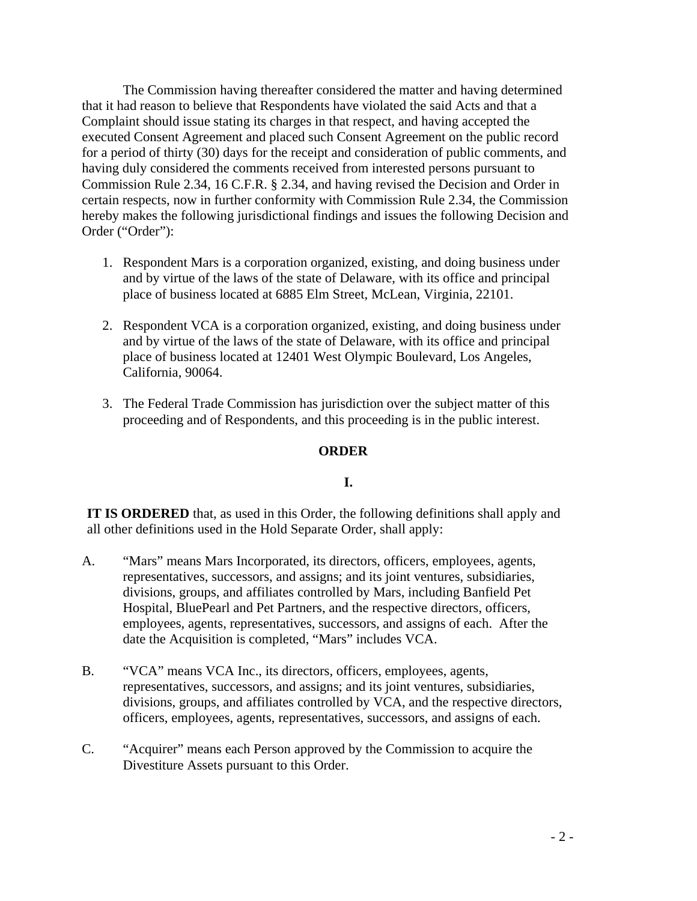that it had reason to believe that Respondents have violated the said Acts and that a for a period of thirty (30) days for the receipt and consideration of public comments, and Commission Rule 2.34, 16 C.F.R. § 2.34, and having revised the Decision and Order in The Commission having thereafter considered the matter and having determined Complaint should issue stating its charges in that respect, and having accepted the executed Consent Agreement and placed such Consent Agreement on the public record having duly considered the comments received from interested persons pursuant to certain respects, now in further conformity with Commission Rule 2.34, the Commission hereby makes the following jurisdictional findings and issues the following Decision and Order ("Order"):

- 1. Respondent Mars is a corporation organized, existing, and doing business under and by virtue of the laws of the state of Delaware, with its office and principal place of business located at 6885 Elm Street, McLean, Virginia, 22101.
- 2. Respondent VCA is a corporation organized, existing, and doing business under and by virtue of the laws of the state of Delaware, with its office and principal place of business located at 12401 West Olympic Boulevard, Los Angeles, California, 90064.
- proceeding and of Respondents, and this proceeding is in the public interest. 3. The Federal Trade Commission has jurisdiction over the subject matter of this

## **ORDER**

## **I.**

 **IT IS ORDERED** that, as used in this Order, the following definitions shall apply and all other definitions used in the Hold Separate Order, shall apply:

- employees, agents, representatives, successors, and assigns of each. After the date the Acquisition is completed, "Mars" includes VCA. A. "Mars" means Mars Incorporated, its directors, officers, employees, agents, representatives, successors, and assigns; and its joint ventures, subsidiaries, divisions, groups, and affiliates controlled by Mars, including Banfield Pet Hospital, BluePearl and Pet Partners, and the respective directors, officers,
- B. "VCA" means VCA Inc., its directors, officers, employees, agents, representatives, successors, and assigns; and its joint ventures, subsidiaries, divisions, groups, and affiliates controlled by VCA, and the respective directors, officers, employees, agents, representatives, successors, and assigns of each.
- C. "Acquirer" means each Person approved by the Commission to acquire the Divestiture Assets pursuant to this Order.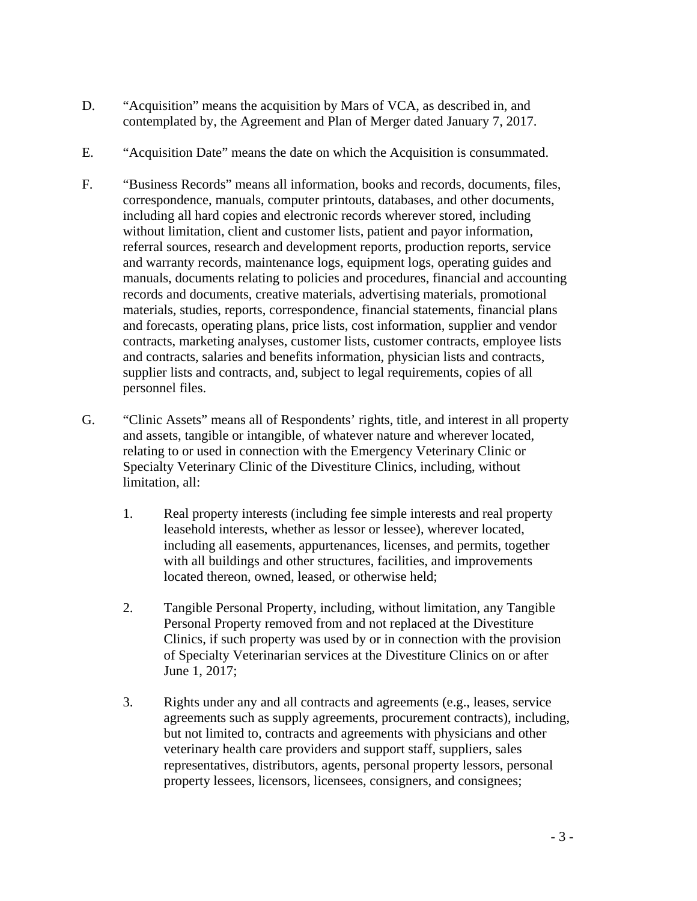- contemplated by, the Agreement and Plan of Merger dated January 7, 2017. D. "Acquisition" means the acquisition by Mars of VCA, as described in, and
- E. "Acquisition Date" means the date on which the Acquisition is consummated.
- F. "Business Records" means all information, books and records, documents, files, and forecasts, operating plans, price lists, cost information, supplier and vendor correspondence, manuals, computer printouts, databases, and other documents, including all hard copies and electronic records wherever stored, including without limitation, client and customer lists, patient and payor information, referral sources, research and development reports, production reports, service and warranty records, maintenance logs, equipment logs, operating guides and manuals, documents relating to policies and procedures, financial and accounting records and documents, creative materials, advertising materials, promotional materials, studies, reports, correspondence, financial statements, financial plans contracts, marketing analyses, customer lists, customer contracts, employee lists and contracts, salaries and benefits information, physician lists and contracts, supplier lists and contracts, and, subject to legal requirements, copies of all personnel files.
- G. "Clinic Assets" means all of Respondents' rights, title, and interest in all property Specialty Veterinary Clinic of the Divestiture Clinics, including, without and assets, tangible or intangible, of whatever nature and wherever located, relating to or used in connection with the Emergency Veterinary Clinic or limitation, all:
	- located thereon, owned, leased, or otherwise held; 1. Real property interests (including fee simple interests and real property leasehold interests, whether as lessor or lessee), wherever located, including all easements, appurtenances, licenses, and permits, together with all buildings and other structures, facilities, and improvements
	- of Specialty Veterinarian services at the Divestiture Clinics on or after June 1, 2017; 2. Tangible Personal Property, including, without limitation, any Tangible Personal Property removed from and not replaced at the Divestiture Clinics, if such property was used by or in connection with the provision
	- but not limited to, contracts and agreements with physicians and other property lessees, licensors, licensees, consigners, and consignees; 3. Rights under any and all contracts and agreements (e.g., leases, service agreements such as supply agreements, procurement contracts), including, veterinary health care providers and support staff, suppliers, sales representatives, distributors, agents, personal property lessors, personal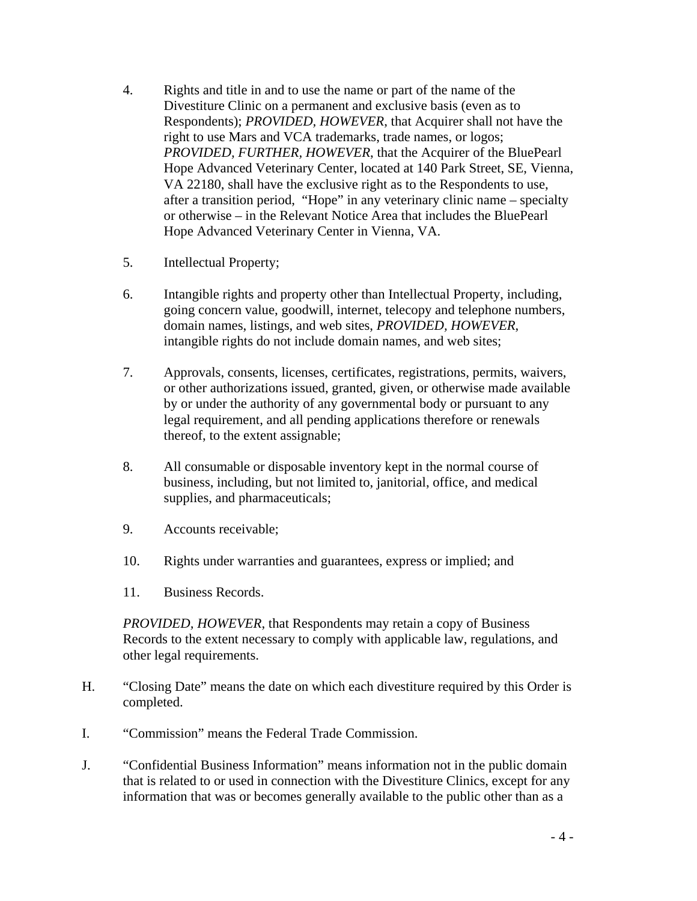- 4. Rights and title in and to use the name or part of the name of the Respondents); *PROVIDED, HOWEVER*, that Acquirer shall not have the VA 22180, shall have the exclusive right as to the Respondents to use, after a transition period, "Hope" in any veterinary clinic name – specialty or otherwise – in the Relevant Notice Area that includes the BluePearl Divestiture Clinic on a permanent and exclusive basis (even as to right to use Mars and VCA trademarks, trade names, or logos; *PROVIDED, FURTHER, HOWEVER*, that the Acquirer of the BluePearl Hope Advanced Veterinary Center, located at 140 Park Street, SE, Vienna, Hope Advanced Veterinary Center in Vienna, VA.
- Intellectual Property;
- 5. Intellectual Property;<br>6. Intangible rights and property other than Intellectual Property, including, going concern value, goodwill, internet, telecopy and telephone numbers, domain names, listings, and web sites, *PROVIDED, HOWEVER*, intangible rights do not include domain names, and web sites;
- 7. Approvals, consents, licenses, certificates, registrations, permits, waivers, or other authorizations issued, granted, given, or otherwise made available by or under the authority of any governmental body or pursuant to any legal requirement, and all pending applications therefore or renewals thereof, to the extent assignable;
- 8. All consumable or disposable inventory kept in the normal course of business, including, but not limited to, janitorial, office, and medical supplies, and pharmaceuticals;
- 9. Accounts receivable;
- 10. Rights under warranties and guarantees, express or implied; and
- 11. Business Records.

 Records to the extent necessary to comply with applicable law, regulations, and *PROVIDED, HOWEVER*, that Respondents may retain a copy of Business other legal requirements.

- H. "Closing Date" means the date on which each divestiture required by this Order is completed.
- I. "Commission" means the Federal Trade Commission.
- J. "Confidential Business Information" means information not in the public domain that is related to or used in connection with the Divestiture Clinics, except for any information that was or becomes generally available to the public other than as a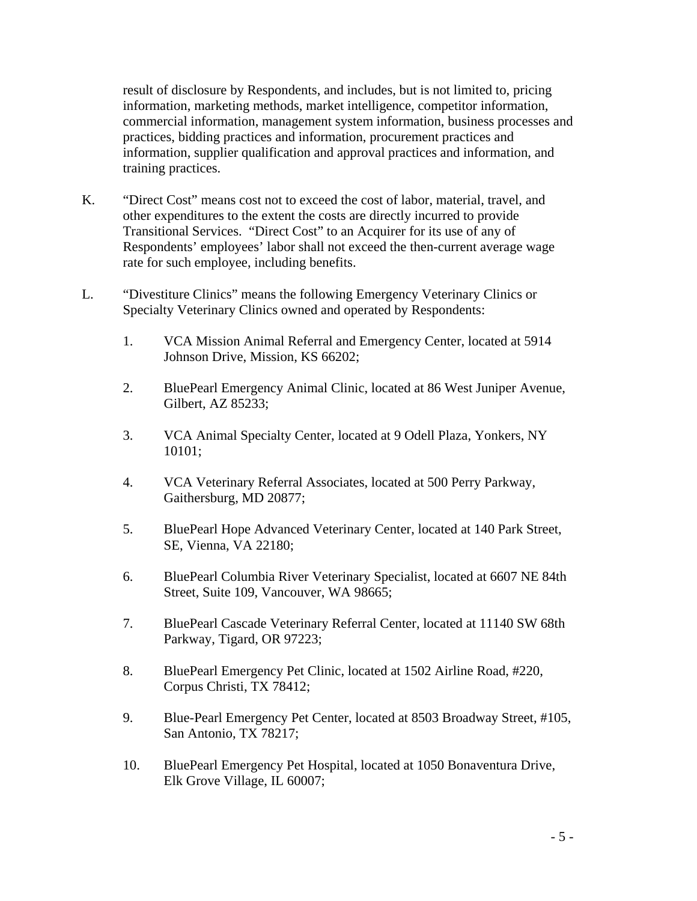commercial information, management system information, business processes and information, supplier qualification and approval practices and information, and result of disclosure by Respondents, and includes, but is not limited to, pricing information, marketing methods, market intelligence, competitor information, practices, bidding practices and information, procurement practices and training practices.

- Transitional Services. "Direct Cost" to an Acquirer for its use of any of Respondents' employees' labor shall not exceed the then-current average wage K. "Direct Cost" means cost not to exceed the cost of labor, material, travel, and other expenditures to the extent the costs are directly incurred to provide rate for such employee, including benefits.
- L. "Divestiture Clinics" means the following Emergency Veterinary Clinics or Specialty Veterinary Clinics owned and operated by Respondents:
	- 1. VCA Mission Animal Referral and Emergency Center, located at 5914 Johnson Drive, Mission, KS 66202;
	- Gilbert, AZ 85233; 2. BluePearl Emergency Animal Clinic, located at 86 West Juniper Avenue,
	- 3. VCA Animal Specialty Center, located at 9 Odell Plaza, Yonkers, NY 10101;
	- Gaithersburg, MD 20877; 4. VCA Veterinary Referral Associates, located at 500 Perry Parkway,
	- 5. BluePearl Hope Advanced Veterinary Center, located at 140 Park Street, SE, Vienna, VA 22180;
	- Street, Suite 109, Vancouver, WA 98665; 6. BluePearl Columbia River Veterinary Specialist, located at 6607 NE 84th
	- 7. BluePearl Cascade Veterinary Referral Center, located at 11140 SW 68th Parkway, Tigard, OR 97223;
	- 8. BluePearl Emergency Pet Clinic, located at 1502 Airline Road, #220, Corpus Christi, TX 78412;
	- 9. Blue-Pearl Emergency Pet Center, located at 8503 Broadway Street, #105, San Antonio, TX 78217;
	- 10. BluePearl Emergency Pet Hospital, located at 1050 Bonaventura Drive, Elk Grove Village, IL 60007;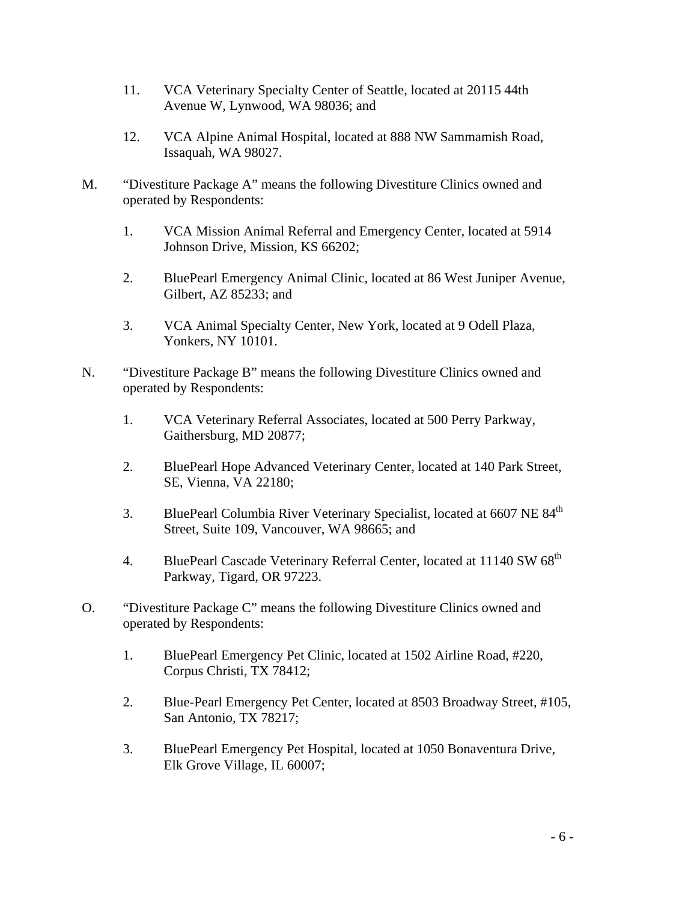- 11. VCA Veterinary Specialty Center of Seattle, located at 20115 44th Avenue W, Lynwood, WA 98036; and
- 12. VCA Alpine Animal Hospital, located at 888 NW Sammamish Road, Issaquah, WA 98027.
- M. "Divestiture Package A" means the following Divestiture Clinics owned and operated by Respondents:
	- 1. VCA Mission Animal Referral and Emergency Center, located at 5914 Johnson Drive, Mission, KS 66202;
	- 2. BluePearl Emergency Animal Clinic, located at 86 West Juniper Avenue, Gilbert, AZ 85233; and
	- 3. VCA Animal Specialty Center, New York, located at 9 Odell Plaza, Yonkers, NY 10101.
- N. "Divestiture Package B" means the following Divestiture Clinics owned and operated by Respondents:
	- Gaithersburg, MD 20877; 1. VCA Veterinary Referral Associates, located at 500 Perry Parkway,
	- Gaithersburg, MD 20877;<br>2. BluePearl Hope Advanced Veterinary Center, located at 140 Park Street, SE, Vienna, VA 22180;
	- 3. BluePearl Columbia River Veterinary Specialist, located at 6607 NE 84<sup>th</sup> Street, Suite 109, Vancouver, WA 98665; and
	- 4. BluePearl Cascade Veterinary Referral Center, located at 11140 SW 68<sup>th</sup> Parkway, Tigard, OR 97223.
- O. "Divestiture Package C" means the following Divestiture Clinics owned and operated by Respondents:
	- 1. BluePearl Emergency Pet Clinic, located at 1502 Airline Road, #220, Corpus Christi, TX 78412;
	- 2. Blue-Pearl Emergency Pet Center, located at 8503 Broadway Street, #105, San Antonio, TX 78217;
	- Elk Grove Village, IL 60007; 3. BluePearl Emergency Pet Hospital, located at 1050 Bonaventura Drive, Elk Grove Village, IL 60007;<br>- 6 -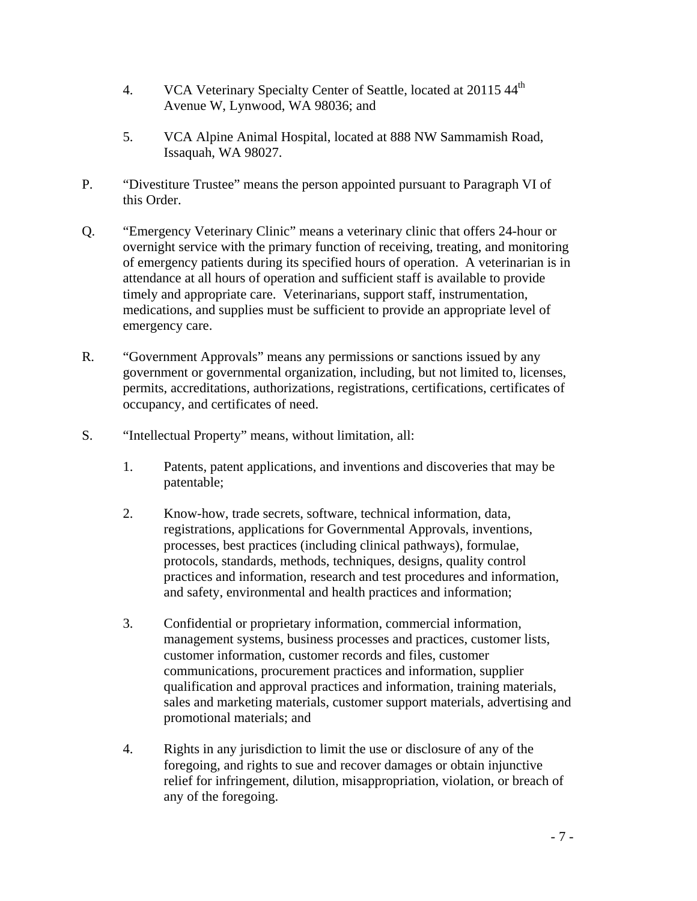- 4. VCA Veterinary Specialty Center of Seattle, located at 20115 44<sup>th</sup> Avenue W, Lynwood, WA 98036; and
- 5. VCA Alpine Animal Hospital, located at 888 NW Sammamish Road, Issaquah, WA 98027.
- P. "Divestiture Trustee" means the person appointed pursuant to Paragraph VI of this Order.
- of emergency patients during its specified hours of operation. A veterinarian is in attendance at all hours of operation and sufficient staff is available to provide timely and appropriate care. Veterinarians, support staff, instrumentation, medications, and supplies must be sufficient to provide an appropriate level of Q. "Emergency Veterinary Clinic" means a veterinary clinic that offers 24-hour or overnight service with the primary function of receiving, treating, and monitoring emergency care.
- government or governmental organization, including, but not limited to, licenses, R. "Government Approvals" means any permissions or sanctions issued by any permits, accreditations, authorizations, registrations, certifications, certificates of occupancy, and certificates of need.
- S. "Intellectual Property" means, without limitation, all:
	- 1. Patents, patent applications, and inventions and discoveries that may be patentable;
	- 2. Know-how, trade secrets, software, technical information, data, registrations, applications for Governmental Approvals, inventions, processes, best practices (including clinical pathways), formulae, protocols, standards, methods, techniques, designs, quality control practices and information, research and test procedures and information, and safety, environmental and health practices and information;
	- qualification and approval practices and information, training materials, 3. Confidential or proprietary information, commercial information, management systems, business processes and practices, customer lists, customer information, customer records and files, customer communications, procurement practices and information, supplier sales and marketing materials, customer support materials, advertising and promotional materials; and
	- relief for infringement, dilution, misappropriation, violation, or breach of any of the foregoing. 4. Rights in any jurisdiction to limit the use or disclosure of any of the foregoing, and rights to sue and recover damages or obtain injunctive any of the foregoing.<br>
	-7 -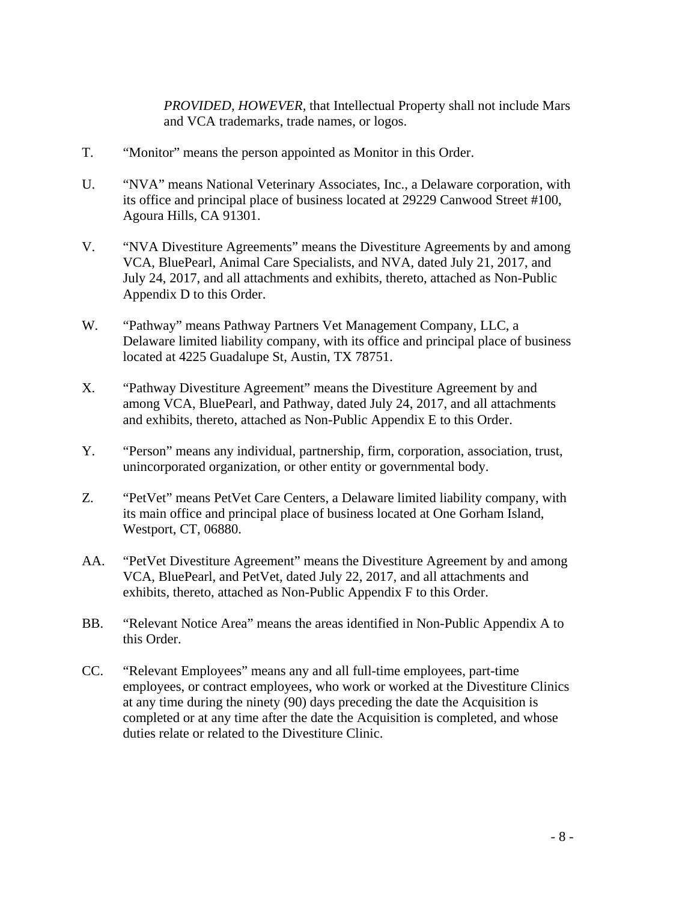*PROVIDED, HOWEVER,* that Intellectual Property shall not include Mars and VCA trademarks, trade names, or logos.

- T. "Monitor" means the person appointed as Monitor in this Order.
- U. "NVA" means National Veterinary Associates, Inc., a Delaware corporation, with its office and principal place of business located at 29229 Canwood Street #100, Agoura Hills, CA 91301.
- V. "NVA Divestiture Agreements" means the Divestiture Agreements by and among VCA, BluePearl, Animal Care Specialists, and NVA, dated July 21, 2017, and July 24, 2017, and all attachments and exhibits, thereto, attached as Non-Public Appendix D to this Order.
- W. "Pathway" means Pathway Partners Vet Management Company, LLC, a Delaware limited liability company, with its office and principal place of business located at 4225 Guadalupe St, Austin, TX 78751.
- X. "Pathway Divestiture Agreement" means the Divestiture Agreement by and among VCA, BluePearl, and Pathway, dated July 24, 2017, and all attachments and exhibits, thereto, attached as Non-Public Appendix E to this Order.
- Y. "Person" means any individual, partnership, firm, corporation, association, trust, unincorporated organization, or other entity or governmental body.
- Z. "PetVet" means PetVet Care Centers, a Delaware limited liability company, with its main office and principal place of business located at One Gorham Island, Westport, CT, 06880.
- exhibits, thereto, attached as Non-Public Appendix F to this Order. AA. "PetVet Divestiture Agreement" means the Divestiture Agreement by and among VCA, BluePearl, and PetVet, dated July 22, 2017, and all attachments and
- BB. "Relevant Notice Area" means the areas identified in Non-Public Appendix A to this Order.
- at any time during the ninety (90) days preceding the date the Acquisition is duties relate or related to the Divestiture Clinic. CC. "Relevant Employees" means any and all full-time employees, part-time employees, or contract employees, who work or worked at the Divestiture Clinics completed or at any time after the date the Acquisition is completed, and whose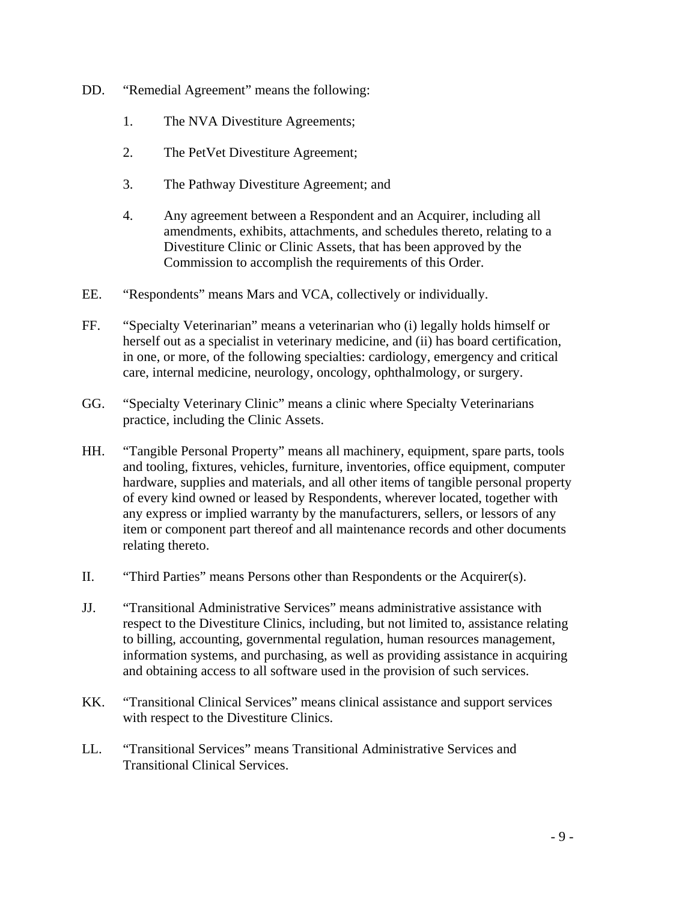- DD. "Remedial Agreement" means the following:
	- 1. The NVA Divestiture Agreements;
	- 2. The PetVet Divestiture Agreement;
	- 3. The Pathway Divestiture Agreement; and
	- 4. Any agreement between a Respondent and an Acquirer, including all amendments, exhibits, attachments, and schedules thereto, relating to a Divestiture Clinic or Clinic Assets, that has been approved by the Commission to accomplish the requirements of this Order.
- "Respondents" means Mars and VCA, collectively or individually.
- EE. "Respondents" means Mars and VCA, collectively or individually.<br>FF. "Specialty Veterinarian" means a veterinarian who (i) legally holds himself or herself out as a specialist in veterinary medicine, and (ii) has board certification, in one, or more, of the following specialties: cardiology, emergency and critical care, internal medicine, neurology, oncology, ophthalmology, or surgery.
- GG. "Specialty Veterinary Clinic" means a clinic where Specialty Veterinarians practice, including the Clinic Assets.
- and tooling, fixtures, vehicles, furniture, inventories, office equipment, computer hardware, supplies and materials, and all other items of tangible personal property any express or implied warranty by the manufacturers, sellers, or lessors of any HH. "Tangible Personal Property" means all machinery, equipment, spare parts, tools of every kind owned or leased by Respondents, wherever located, together with item or component part thereof and all maintenance records and other documents relating thereto.
- II. "Third Parties" means Persons other than Respondents or the Acquirer(s).
- and obtaining access to all software used in the provision of such services. JJ. "Transitional Administrative Services" means administrative assistance with respect to the Divestiture Clinics, including, but not limited to, assistance relating to billing, accounting, governmental regulation, human resources management, information systems, and purchasing, as well as providing assistance in acquiring
- with respect to the Divestiture Clinics. KK. "Transitional Clinical Services" means clinical assistance and support services
- LL. "Transitional Services" means Transitional Administrative Services and Transitional Clinical Services.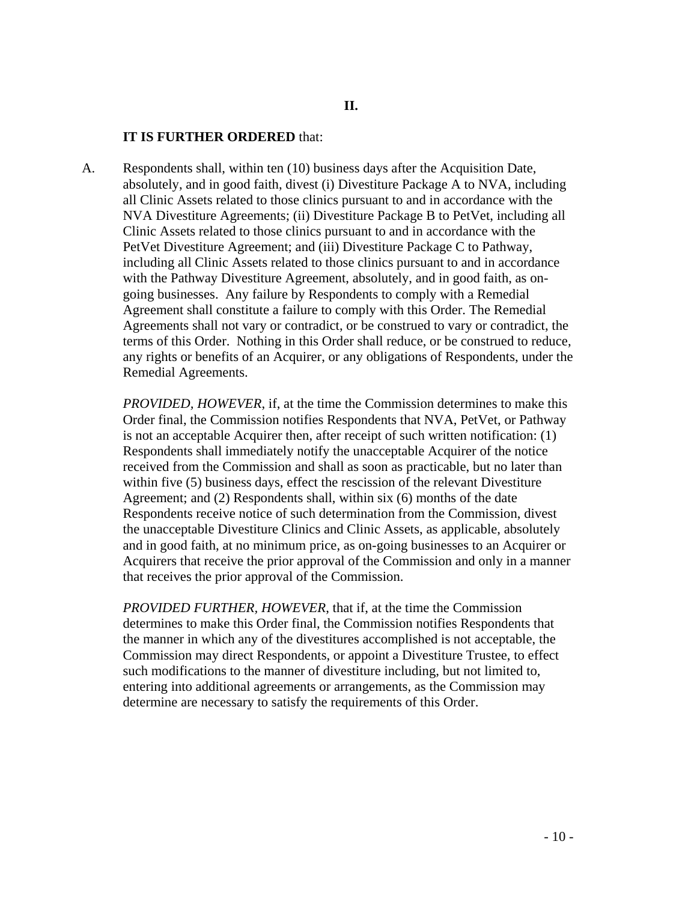#### **IT IS FURTHER ORDERED** that:

 absolutely, and in good faith, divest (i) Divestiture Package A to NVA, including Clinic Assets related to those clinics pursuant to and in accordance with the including all Clinic Assets related to those clinics pursuant to and in accordance A. Respondents shall, within ten (10) business days after the Acquisition Date, all Clinic Assets related to those clinics pursuant to and in accordance with the NVA Divestiture Agreements; (ii) Divestiture Package B to PetVet, including all PetVet Divestiture Agreement; and (iii) Divestiture Package C to Pathway, with the Pathway Divestiture Agreement, absolutely, and in good faith, as ongoing businesses. Any failure by Respondents to comply with a Remedial Agreement shall constitute a failure to comply with this Order. The Remedial Agreements shall not vary or contradict, or be construed to vary or contradict, the terms of this Order. Nothing in this Order shall reduce, or be construed to reduce, any rights or benefits of an Acquirer, or any obligations of Respondents, under the Remedial Agreements.

 received from the Commission and shall as soon as practicable, but no later than Acquirers that receive the prior approval of the Commission and only in a manner *PROVIDED, HOWEVER*, if, at the time the Commission determines to make this Order final, the Commission notifies Respondents that NVA, PetVet, or Pathway is not an acceptable Acquirer then, after receipt of such written notification: (1) Respondents shall immediately notify the unacceptable Acquirer of the notice within five (5) business days, effect the rescission of the relevant Divestiture Agreement; and (2) Respondents shall, within six (6) months of the date Respondents receive notice of such determination from the Commission, divest the unacceptable Divestiture Clinics and Clinic Assets, as applicable, absolutely and in good faith, at no minimum price, as on-going businesses to an Acquirer or that receives the prior approval of the Commission.

*PROVIDED FURTHER, HOWEVER*, that if, at the time the Commission determines to make this Order final, the Commission notifies Respondents that the manner in which any of the divestitures accomplished is not acceptable, the Commission may direct Respondents, or appoint a Divestiture Trustee, to effect such modifications to the manner of divestiture including, but not limited to, entering into additional agreements or arrangements, as the Commission may determine are necessary to satisfy the requirements of this Order.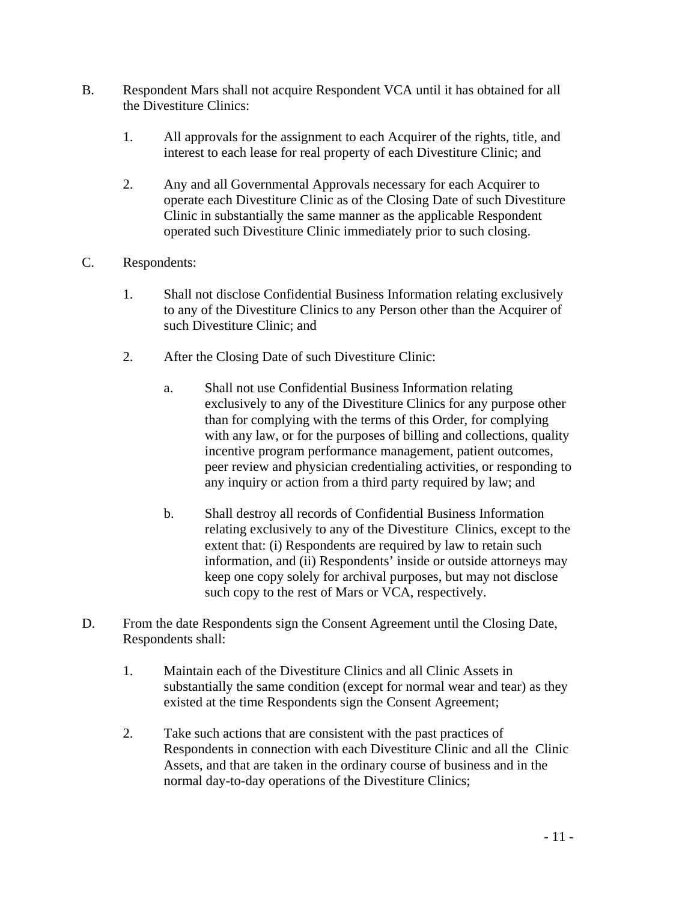- B. Respondent Mars shall not acquire Respondent VCA until it has obtained for all the Divestiture Clinics:
	- 1. All approvals for the assignment to each Acquirer of the rights, title, and interest to each lease for real property of each Divestiture Clinic; and
	- 2. Any and all Governmental Approvals necessary for each Acquirer to operate each Divestiture Clinic as of the Closing Date of such Divestiture Clinic in substantially the same manner as the applicable Respondent operated such Divestiture Clinic immediately prior to such closing.
- C. Respondents:
	- 1. Shall not disclose Confidential Business Information relating exclusively to any of the Divestiture Clinics to any Person other than the Acquirer of such Divestiture Clinic; and
	- 2. After the Closing Date of such Divestiture Clinic:
		- exclusively to any of the Divestiture Clinics for any purpose other with any law, or for the purposes of billing and collections, quality a. Shall not use Confidential Business Information relating than for complying with the terms of this Order, for complying incentive program performance management, patient outcomes, peer review and physician credentialing activities, or responding to any inquiry or action from a third party required by law; and
		- relating exclusively to any of the Divestiture Clinics, except to the b. Shall destroy all records of Confidential Business Information extent that: (i) Respondents are required by law to retain such information, and (ii) Respondents' inside or outside attorneys may keep one copy solely for archival purposes, but may not disclose such copy to the rest of Mars or VCA, respectively.
- D. From the date Respondents sign the Consent Agreement until the Closing Date, Respondents shall:
	- substantially the same condition (except for normal wear and tear) as they 1. Maintain each of the Divestiture Clinics and all Clinic Assets in existed at the time Respondents sign the Consent Agreement;
	- Respondents in connection with each Divestiture Clinic and all the Clinic normal day-to-day operations of the Divestiture Clinics; 2. Take such actions that are consistent with the past practices of Assets, and that are taken in the ordinary course of business and in the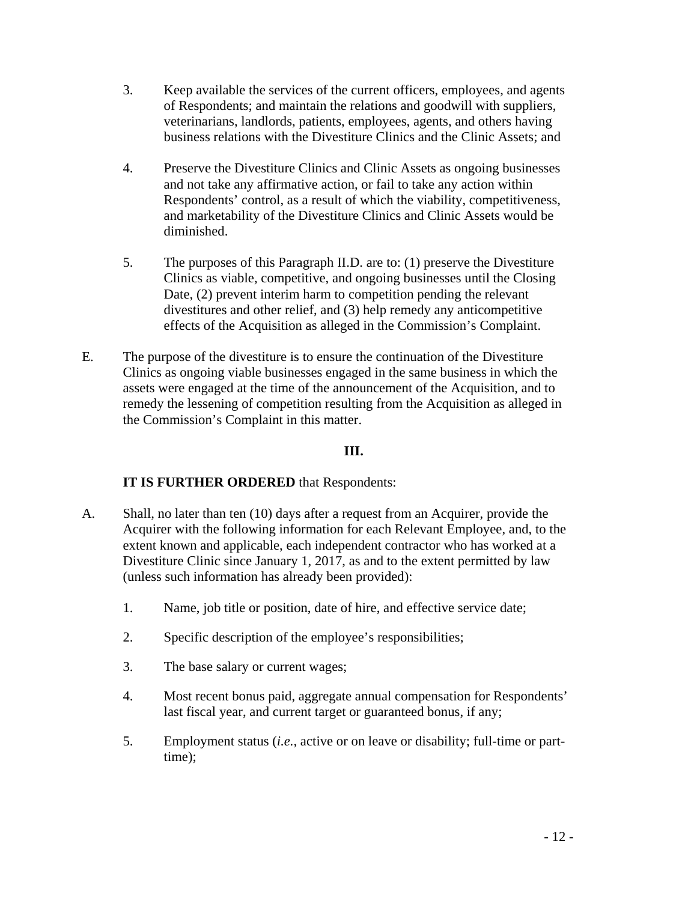- business relations with the Divestiture Clinics and the Clinic Assets; and 3. Keep available the services of the current officers, employees, and agents of Respondents; and maintain the relations and goodwill with suppliers, veterinarians, landlords, patients, employees, agents, and others having
- Respondents' control, as a result of which the viability, competitiveness, and marketability of the Divestiture Clinics and Clinic Assets would be 4. Preserve the Divestiture Clinics and Clinic Assets as ongoing businesses and not take any affirmative action, or fail to take any action within diminished.
- Clinics as viable, competitive, and ongoing businesses until the Closing divestitures and other relief, and (3) help remedy any anticompetitive 5. The purposes of this Paragraph II.D. are to: (1) preserve the Divestiture Date, (2) prevent interim harm to competition pending the relevant effects of the Acquisition as alleged in the Commission's Complaint.
- Clinics as ongoing viable businesses engaged in the same business in which the E. The purpose of the divestiture is to ensure the continuation of the Divestiture assets were engaged at the time of the announcement of the Acquisition, and to remedy the lessening of competition resulting from the Acquisition as alleged in the Commission's Complaint in this matter.

## **III.**

## **IT IS FURTHER ORDERED** that Respondents:

- A. Shall, no later than ten (10) days after a request from an Acquirer, provide the Divestiture Clinic since January 1, 2017, as and to the extent permitted by law Acquirer with the following information for each Relevant Employee, and, to the extent known and applicable, each independent contractor who has worked at a (unless such information has already been provided):
	- 1. Name, job title or position, date of hire, and effective service date;
	- 2. Specific description of the employee's responsibilities;
	- 3. The base salary or current wages;
	- 4. Most recent bonus paid, aggregate annual compensation for Respondents' last fiscal year, and current target or guaranteed bonus, if any;
	- 5. Employment status (*i.e.,* active or on leave or disability; full-time or parttime);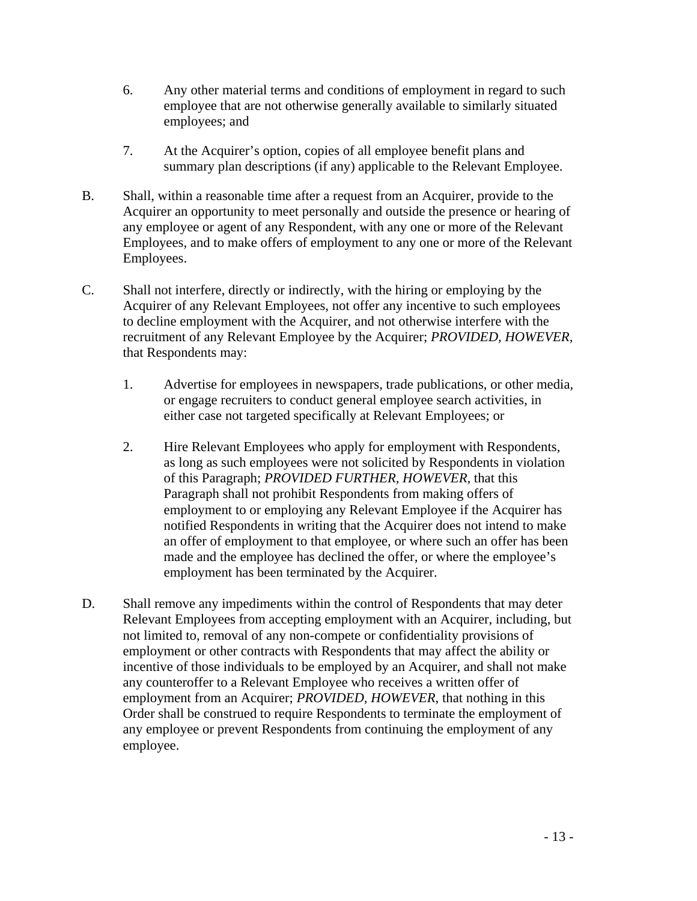- 6. Any other material terms and conditions of employment in regard to such employee that are not otherwise generally available to similarly situated employees; and
- 7. At the Acquirer's option, copies of all employee benefit plans and summary plan descriptions (if any) applicable to the Relevant Employee.
- B. Shall, within a reasonable time after a request from an Acquirer, provide to the Acquirer an opportunity to meet personally and outside the presence or hearing of any employee or agent of any Respondent, with any one or more of the Relevant Employees, and to make offers of employment to any one or more of the Relevant Employees.
- C. Shall not interfere, directly or indirectly, with the hiring or employing by the Acquirer of any Relevant Employees, not offer any incentive to such employees to decline employment with the Acquirer, and not otherwise interfere with the recruitment of any Relevant Employee by the Acquirer; *PROVIDED, HOWEVER,*  that Respondents may:
	- 1. Advertise for employees in newspapers, trade publications, or other media, or engage recruiters to conduct general employee search activities, in either case not targeted specifically at Relevant Employees; or
	- employment has been terminated by the Acquirer. 2. Hire Relevant Employees who apply for employment with Respondents, as long as such employees were not solicited by Respondents in violation of this Paragraph; *PROVIDED FURTHER, HOWEVER,* that this Paragraph shall not prohibit Respondents from making offers of employment to or employing any Relevant Employee if the Acquirer has notified Respondents in writing that the Acquirer does not intend to make an offer of employment to that employee, or where such an offer has been made and the employee has declined the offer, or where the employee's
- not limited to, removal of any non-compete or confidentiality provisions of employment or other contracts with Respondents that may affect the ability or D. Shall remove any impediments within the control of Respondents that may deter Relevant Employees from accepting employment with an Acquirer, including, but incentive of those individuals to be employed by an Acquirer, and shall not make any counteroffer to a Relevant Employee who receives a written offer of employment from an Acquirer; *PROVIDED, HOWEVER*, that nothing in this Order shall be construed to require Respondents to terminate the employment of any employee or prevent Respondents from continuing the employment of any employee.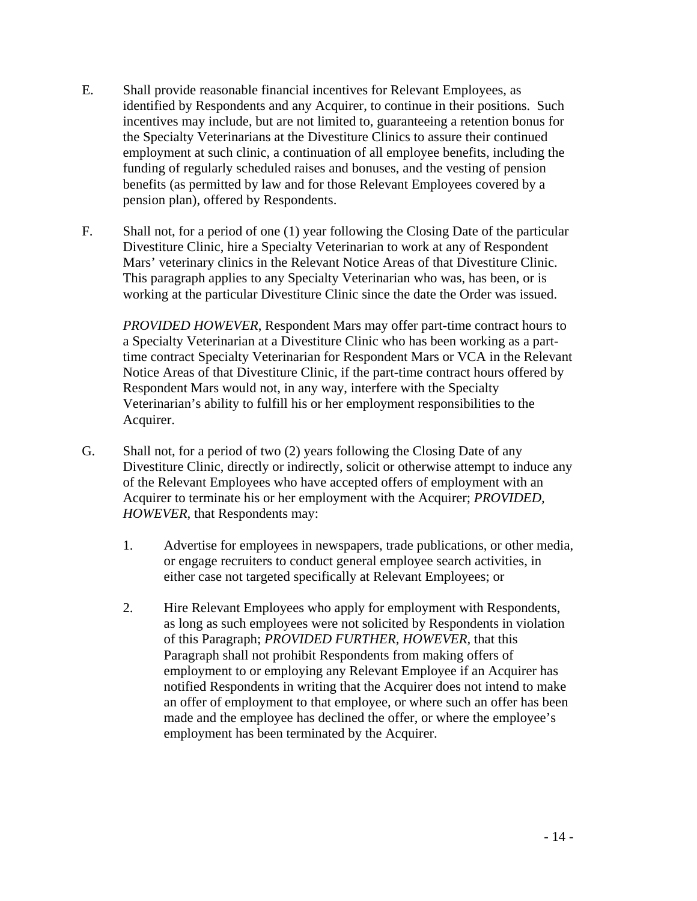- identified by Respondents and any Acquirer, to continue in their positions. Such funding of regularly scheduled raises and bonuses, and the vesting of pension E. Shall provide reasonable financial incentives for Relevant Employees, as incentives may include, but are not limited to, guaranteeing a retention bonus for the Specialty Veterinarians at the Divestiture Clinics to assure their continued employment at such clinic, a continuation of all employee benefits, including the benefits (as permitted by law and for those Relevant Employees covered by a pension plan), offered by Respondents.
- F. Shall not, for a period of one (1) year following the Closing Date of the particular Divestiture Clinic, hire a Specialty Veterinarian to work at any of Respondent Mars' veterinary clinics in the Relevant Notice Areas of that Divestiture Clinic. This paragraph applies to any Specialty Veterinarian who was, has been, or is working at the particular Divestiture Clinic since the date the Order was issued.

 Veterinarian's ability to fulfill his or her employment responsibilities to the Acquirer. *PROVIDED HOWEVER*, Respondent Mars may offer part-time contract hours to a Specialty Veterinarian at a Divestiture Clinic who has been working as a parttime contract Specialty Veterinarian for Respondent Mars or VCA in the Relevant Notice Areas of that Divestiture Clinic, if the part-time contract hours offered by Respondent Mars would not, in any way, interfere with the Specialty

- of the Relevant Employees who have accepted offers of employment with an G. Shall not, for a period of two  $(2)$  years following the Closing Date of any Divestiture Clinic, directly or indirectly, solicit or otherwise attempt to induce any Acquirer to terminate his or her employment with the Acquirer; *PROVIDED, HOWEVER,* that Respondents may:
	- 1. Advertise for employees in newspapers, trade publications, or other media, or engage recruiters to conduct general employee search activities, in either case not targeted specifically at Relevant Employees; or
	- employment has been terminated by the Acquirer. 2. Hire Relevant Employees who apply for employment with Respondents, as long as such employees were not solicited by Respondents in violation of this Paragraph; *PROVIDED FURTHER, HOWEVER,* that this Paragraph shall not prohibit Respondents from making offers of employment to or employing any Relevant Employee if an Acquirer has notified Respondents in writing that the Acquirer does not intend to make an offer of employment to that employee, or where such an offer has been made and the employee has declined the offer, or where the employee's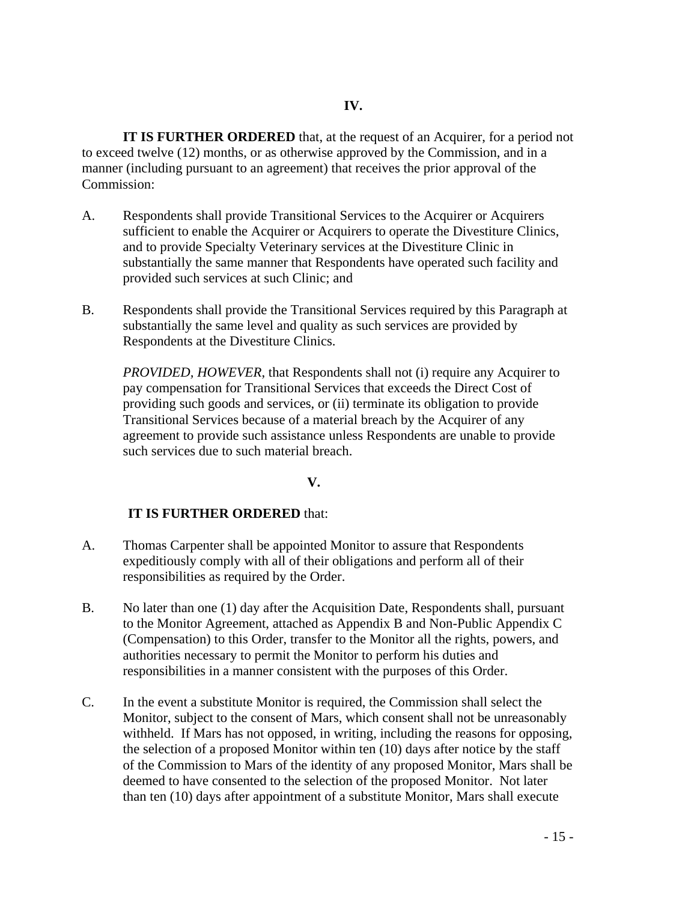**IT IS FURTHER ORDERED** that, at the request of an Acquirer, for a period not to exceed twelve (12) months, or as otherwise approved by the Commission, and in a manner (including pursuant to an agreement) that receives the prior approval of the Commission:

- substantially the same manner that Respondents have operated such facility and A. Respondents shall provide Transitional Services to the Acquirer or Acquirers sufficient to enable the Acquirer or Acquirers to operate the Divestiture Clinics, and to provide Specialty Veterinary services at the Divestiture Clinic in provided such services at such Clinic; and
- B. Respondents shall provide the Transitional Services required by this Paragraph at substantially the same level and quality as such services are provided by Respondents at the Divestiture Clinics.

 *PROVIDED, HOWEVER*, that Respondents shall not (i) require any Acquirer to pay compensation for Transitional Services that exceeds the Direct Cost of agreement to provide such assistance unless Respondents are unable to provide providing such goods and services, or (ii) terminate its obligation to provide Transitional Services because of a material breach by the Acquirer of any such services due to such material breach.

### **V.**

### **IT IS FURTHER ORDERED** that:

- A. Thomas Carpenter shall be appointed Monitor to assure that Respondents expeditiously comply with all of their obligations and perform all of their responsibilities as required by the Order.
- (Compensation) to this Order, transfer to the Monitor all the rights, powers, and authorities necessary to permit the Monitor to perform his duties and B. No later than one (1) day after the Acquisition Date, Respondents shall, pursuant to the Monitor Agreement, attached as Appendix B and Non-Public Appendix C responsibilities in a manner consistent with the purposes of this Order.
- C. In the event a substitute Monitor is required, the Commission shall select the Monitor, subject to the consent of Mars, which consent shall not be unreasonably the selection of a proposed Monitor within ten (10) days after notice by the staff of the Commission to Mars of the identity of any proposed Monitor, Mars shall be deemed to have consented to the selection of the proposed Monitor. Not later than ten (10) days after appointment of a substitute Monitor, Mars shall execute withheld. If Mars has not opposed, in writing, including the reasons for opposing,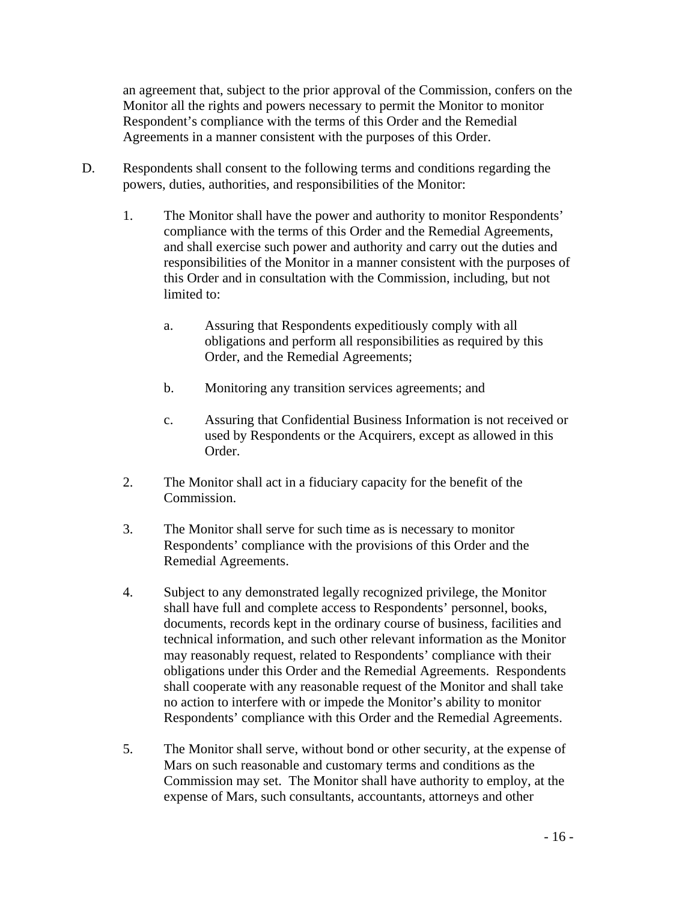an agreement that, subject to the prior approval of the Commission, confers on the Monitor all the rights and powers necessary to permit the Monitor to monitor Respondent's compliance with the terms of this Order and the Remedial Agreements in a manner consistent with the purposes of this Order.

- D. Respondents shall consent to the following terms and conditions regarding the powers, duties, authorities, and responsibilities of the Monitor:
	- responsibilities of the Monitor in a manner consistent with the purposes of 1. The Monitor shall have the power and authority to monitor Respondents' compliance with the terms of this Order and the Remedial Agreements, and shall exercise such power and authority and carry out the duties and this Order and in consultation with the Commission, including, but not limited to:
		- a. Assuring that Respondents expeditiously comply with all obligations and perform all responsibilities as required by this Order, and the Remedial Agreements;
		- b. Monitoring any transition services agreements; and
		- used by Respondents or the Acquirers, except as allowed in this c. Assuring that Confidential Business Information is not received or Order.
	- 2. The Monitor shall act in a fiduciary capacity for the benefit of the Commission.
	- Respondents' compliance with the provisions of this Order and the 3. The Monitor shall serve for such time as is necessary to monitor Remedial Agreements.
	- 4. Subject to any demonstrated legally recognized privilege, the Monitor obligations under this Order and the Remedial Agreements. Respondents shall cooperate with any reasonable request of the Monitor and shall take shall have full and complete access to Respondents' personnel, books, documents, records kept in the ordinary course of business, facilities and technical information, and such other relevant information as the Monitor may reasonably request, related to Respondents' compliance with their no action to interfere with or impede the Monitor's ability to monitor Respondents' compliance with this Order and the Remedial Agreements.
	- 5. The Monitor shall serve, without bond or other security, at the expense of Commission may set. The Monitor shall have authority to employ, at the Mars on such reasonable and customary terms and conditions as the expense of Mars, such consultants, accountants, attorneys and other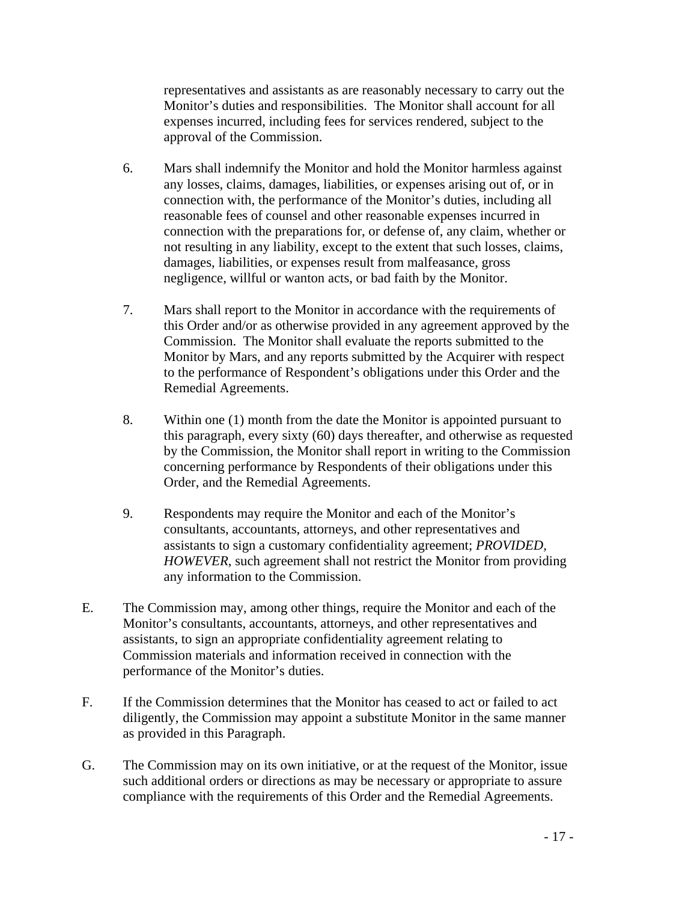representatives and assistants as are reasonably necessary to carry out the Monitor's duties and responsibilities. The Monitor shall account for all expenses incurred, including fees for services rendered, subject to the approval of the Commission.

- 6. Mars shall indemnify the Monitor and hold the Monitor harmless against any losses, claims, damages, liabilities, or expenses arising out of, or in connection with, the performance of the Monitor's duties, including all reasonable fees of counsel and other reasonable expenses incurred in connection with the preparations for, or defense of, any claim, whether or not resulting in any liability, except to the extent that such losses, claims, damages, liabilities, or expenses result from malfeasance, gross negligence, willful or wanton acts, or bad faith by the Monitor.
- to the performance of Respondent's obligations under this Order and the 7. Mars shall report to the Monitor in accordance with the requirements of this Order and/or as otherwise provided in any agreement approved by the Commission. The Monitor shall evaluate the reports submitted to the Monitor by Mars, and any reports submitted by the Acquirer with respect Remedial Agreements.
- 8. Within one (1) month from the date the Monitor is appointed pursuant to by the Commission, the Monitor shall report in writing to the Commission concerning performance by Respondents of their obligations under this this paragraph, every sixty (60) days thereafter, and otherwise as requested Order, and the Remedial Agreements.
- 9. Respondents may require the Monitor and each of the Monitor's consultants, accountants, attorneys, and other representatives and assistants to sign a customary confidentiality agreement; *PROVIDED, HOWEVER*, such agreement shall not restrict the Monitor from providing any information to the Commission.
- E. The Commission may, among other things, require the Monitor and each of the Monitor's consultants, accountants, attorneys, and other representatives and assistants, to sign an appropriate confidentiality agreement relating to Commission materials and information received in connection with the performance of the Monitor's duties.
- diligently, the Commission may appoint a substitute Monitor in the same manner F. If the Commission determines that the Monitor has ceased to act or failed to act as provided in this Paragraph.
- such additional orders or directions as may be necessary or appropriate to assure G. The Commission may on its own initiative, or at the request of the Monitor, issue compliance with the requirements of this Order and the Remedial Agreements.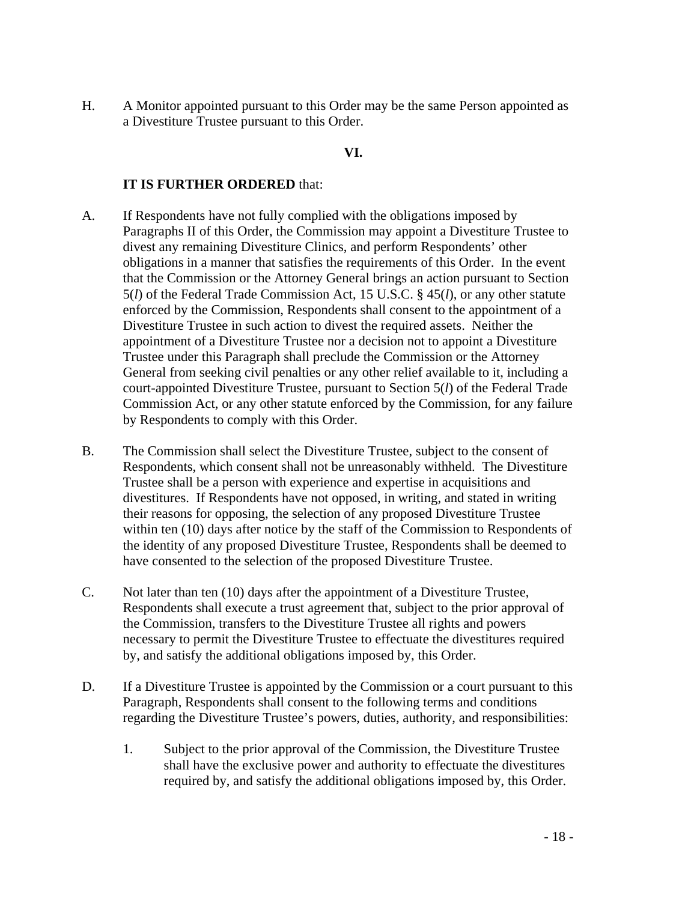H. A Monitor appointed pursuant to this Order may be the same Person appointed as a Divestiture Trustee pursuant to this Order.

### **VI.**

### **IT IS FURTHER ORDERED** that:

- Paragraphs II of this Order, the Commission may appoint a Divestiture Trustee to divest any remaining Divestiture Clinics, and perform Respondents' other obligations in a manner that satisfies the requirements of this Order. In the event enforced by the Commission, Respondents shall consent to the appointment of a General from seeking civil penalties or any other relief available to it, including a A. If Respondents have not fully complied with the obligations imposed by that the Commission or the Attorney General brings an action pursuant to Section 5(*l*) of the Federal Trade Commission Act, 15 U.S.C. § 45(*l*), or any other statute Divestiture Trustee in such action to divest the required assets. Neither the appointment of a Divestiture Trustee nor a decision not to appoint a Divestiture Trustee under this Paragraph shall preclude the Commission or the Attorney court-appointed Divestiture Trustee, pursuant to Section 5(*l*) of the Federal Trade Commission Act, or any other statute enforced by the Commission, for any failure by Respondents to comply with this Order.
- B. The Commission shall select the Divestiture Trustee, subject to the consent of Respondents, which consent shall not be unreasonably withheld. The Divestiture Trustee shall be a person with experience and expertise in acquisitions and divestitures. If Respondents have not opposed, in writing, and stated in writing their reasons for opposing, the selection of any proposed Divestiture Trustee within ten (10) days after notice by the staff of the Commission to Respondents of the identity of any proposed Divestiture Trustee, Respondents shall be deemed to have consented to the selection of the proposed Divestiture Trustee.
- Respondents shall execute a trust agreement that, subject to the prior approval of necessary to permit the Divestiture Trustee to effectuate the divestitures required C. Not later than ten (10) days after the appointment of a Divestiture Trustee, the Commission, transfers to the Divestiture Trustee all rights and powers by, and satisfy the additional obligations imposed by, this Order.
- D. If a Divestiture Trustee is appointed by the Commission or a court pursuant to this Paragraph, Respondents shall consent to the following terms and conditions regarding the Divestiture Trustee's powers, duties, authority, and responsibilities:
	- 1. Subject to the prior approval of the Commission, the Divestiture Trustee required by, and satisfy the additional obligations imposed by, this Order.<br>- 18 shall have the exclusive power and authority to effectuate the divestitures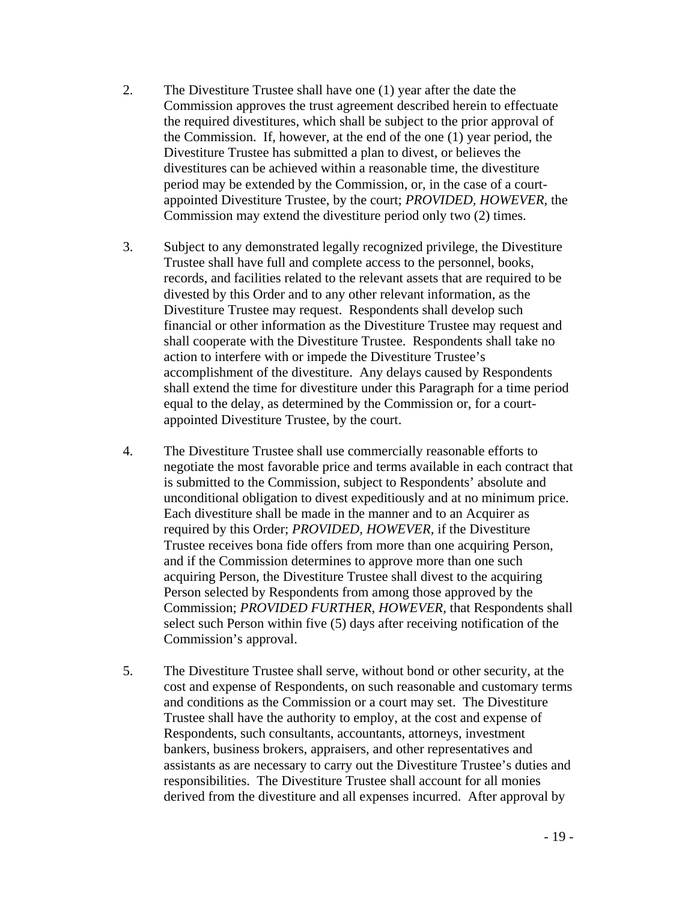- the Commission. If, however, at the end of the one (1) year period, the Divestiture Trustee has submitted a plan to divest, or believes the appointed Divestiture Trustee, by the court; *PROVIDED, HOWEVER,* the Commission may extend the divestiture period only two (2) times. 2. The Divestiture Trustee shall have one (1) year after the date the Commission approves the trust agreement described herein to effectuate the required divestitures, which shall be subject to the prior approval of divestitures can be achieved within a reasonable time, the divestiture period may be extended by the Commission, or, in the case of a court-
- 3. Subject to any demonstrated legally recognized privilege, the Divestiture Trustee shall have full and complete access to the personnel, books, financial or other information as the Divestiture Trustee may request and shall cooperate with the Divestiture Trustee. Respondents shall take no action to interfere with or impede the Divestiture Trustee's shall extend the time for divestiture under this Paragraph for a time period appointed Divestiture Trustee, by the court. records, and facilities related to the relevant assets that are required to be divested by this Order and to any other relevant information, as the Divestiture Trustee may request. Respondents shall develop such accomplishment of the divestiture. Any delays caused by Respondents equal to the delay, as determined by the Commission or, for a court-
- Each divestiture shall be made in the manner and to an Acquirer as acquiring Person, the Divestiture Trustee shall divest to the acquiring Commission's approval. 4. The Divestiture Trustee shall use commercially reasonable efforts to negotiate the most favorable price and terms available in each contract that is submitted to the Commission, subject to Respondents' absolute and unconditional obligation to divest expeditiously and at no minimum price. required by this Order; *PROVIDED, HOWEVER,* if the Divestiture Trustee receives bona fide offers from more than one acquiring Person, and if the Commission determines to approve more than one such Person selected by Respondents from among those approved by the Commission; *PROVIDED FURTHER, HOWEVER,* that Respondents shall select such Person within five (5) days after receiving notification of the
- Commission's approval. 5. The Divestiture Trustee shall serve, without bond or other security, at the cost and expense of Respondents, on such reasonable and customary terms and conditions as the Commission or a court may set. The Divestiture Trustee shall have the authority to employ, at the cost and expense of Respondents, such consultants, accountants, attorneys, investment bankers, business brokers, appraisers, and other representatives and assistants as are necessary to carry out the Divestiture Trustee's duties and responsibilities. The Divestiture Trustee shall account for all monies derived from the divestiture and all expenses incurred. After approval by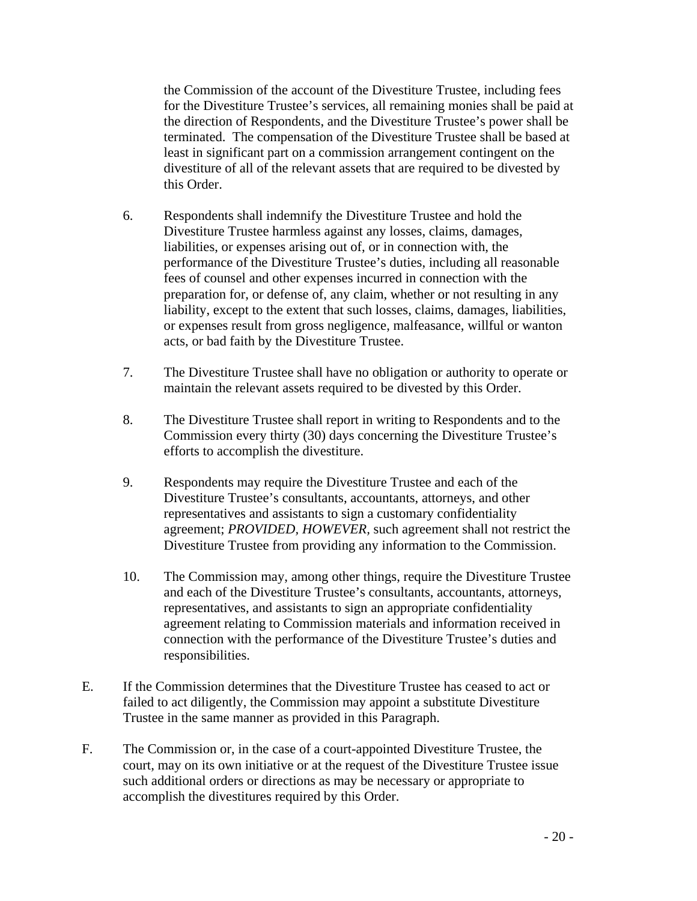for the Divestiture Trustee's services, all remaining monies shall be paid at terminated. The compensation of the Divestiture Trustee shall be based at divestiture of all of the relevant assets that are required to be divested by this Order. the Commission of the account of the Divestiture Trustee, including fees the direction of Respondents, and the Divestiture Trustee's power shall be least in significant part on a commission arrangement contingent on the

- acts, or bad faith by the Divestiture Trustee. 6. Respondents shall indemnify the Divestiture Trustee and hold the Divestiture Trustee harmless against any losses, claims, damages, liabilities, or expenses arising out of, or in connection with, the performance of the Divestiture Trustee's duties, including all reasonable fees of counsel and other expenses incurred in connection with the preparation for, or defense of, any claim, whether or not resulting in any liability, except to the extent that such losses, claims, damages, liabilities, or expenses result from gross negligence, malfeasance, willful or wanton
- maintain the relevant assets required to be divested by this Order. 7. The Divestiture Trustee shall have no obligation or authority to operate or
- maintain the relevant assets required to be divested by this Order.<br>8. The Divestiture Trustee shall report in writing to Respondents and to the efforts to accomplish the divestiture. Commission every thirty (30) days concerning the Divestiture Trustee's
- 9. Respondents may require the Divestiture Trustee and each of the Divestiture Trustee's consultants, accountants, attorneys, and other representatives and assistants to sign a customary confidentiality agreement; *PROVIDED, HOWEVER,* such agreement shall not restrict the Divestiture Trustee from providing any information to the Commission.
- connection with the performance of the Divestiture Trustee's duties and 10. The Commission may, among other things, require the Divestiture Trustee and each of the Divestiture Trustee's consultants, accountants, attorneys, representatives, and assistants to sign an appropriate confidentiality agreement relating to Commission materials and information received in responsibilities.
- E. If the Commission determines that the Divestiture Trustee has ceased to act or failed to act diligently, the Commission may appoint a substitute Divestiture Trustee in the same manner as provided in this Paragraph.
- court, may on its own initiative or at the request of the Divestiture Trustee issue F. The Commission or, in the case of a court-appointed Divestiture Trustee, the such additional orders or directions as may be necessary or appropriate to accomplish the divestitures required by this Order.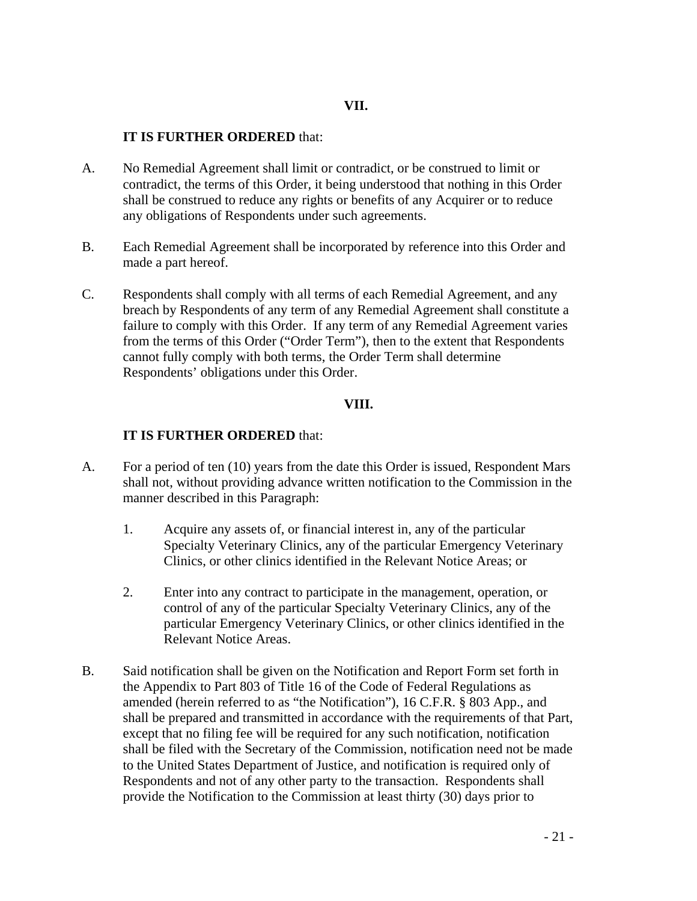### **IT IS FURTHER ORDERED** that:

- A. No Remedial Agreement shall limit or contradict, or be construed to limit or contradict, the terms of this Order, it being understood that nothing in this Order shall be construed to reduce any rights or benefits of any Acquirer or to reduce any obligations of Respondents under such agreements.
- B. Each Remedial Agreement shall be incorporated by reference into this Order and made a part hereof.
- C. Respondents shall comply with all terms of each Remedial Agreement, and any breach by Respondents of any term of any Remedial Agreement shall constitute a failure to comply with this Order. If any term of any Remedial Agreement varies from the terms of this Order ("Order Term"), then to the extent that Respondents cannot fully comply with both terms, the Order Term shall determine Respondents' obligations under this Order.

#### **VIII.**

#### **IT IS FURTHER ORDERED** that:

- A. For a period of ten (10) years from the date this Order is issued, Respondent Mars shall not, without providing advance written notification to the Commission in the manner described in this Paragraph:
	- 1. Acquire any assets of, or financial interest in, any of the particular Specialty Veterinary Clinics, any of the particular Emergency Veterinary Clinics, or other clinics identified in the Relevant Notice Areas; or
	- particular Emergency Veterinary Clinics, or other clinics identified in the 2. Enter into any contract to participate in the management, operation, or control of any of the particular Specialty Veterinary Clinics, any of the Relevant Notice Areas.
- the Appendix to Part 803 of Title 16 of the Code of Federal Regulations as except that no filing fee will be required for any such notification, notification Respondents and not of any other party to the transaction. Respondents shall provide the Notification to the Commission at least thirty (30) days prior to B. Said notification shall be given on the Notification and Report Form set forth in amended (herein referred to as "the Notification"), 16 C.F.R. § 803 App., and shall be prepared and transmitted in accordance with the requirements of that Part, shall be filed with the Secretary of the Commission, notification need not be made to the United States Department of Justice, and notification is required only of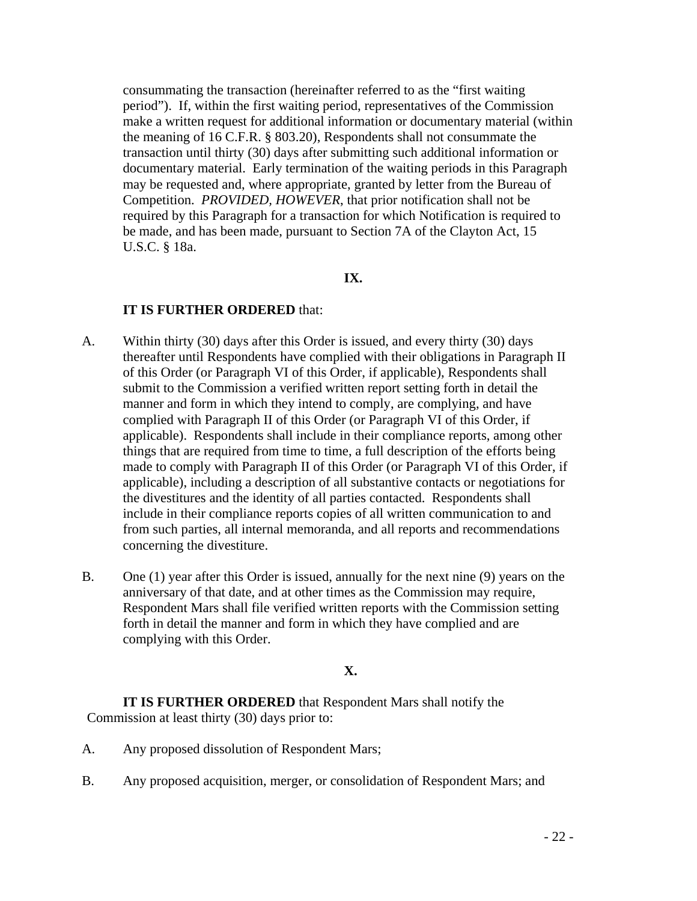required by this Paragraph for a transaction for which Notification is required to consummating the transaction (hereinafter referred to as the "first waiting period"). If, within the first waiting period, representatives of the Commission make a written request for additional information or documentary material (within the meaning of 16 C.F.R. § 803.20), Respondents shall not consummate the transaction until thirty (30) days after submitting such additional information or documentary material. Early termination of the waiting periods in this Paragraph may be requested and, where appropriate, granted by letter from the Bureau of Competition. *PROVIDED, HOWEVER*, that prior notification shall not be be made, and has been made, pursuant to Section 7A of the Clayton Act, 15 U.S.C. § 18a.

#### **IX.**

#### **IT IS FURTHER ORDERED** that:

- thereafter until Respondents have complied with their obligations in Paragraph II applicable), including a description of all substantive contacts or negotiations for include in their compliance reports copies of all written communication to and A. Within thirty (30) days after this Order is issued, and every thirty (30) days of this Order (or Paragraph VI of this Order, if applicable), Respondents shall submit to the Commission a verified written report setting forth in detail the manner and form in which they intend to comply, are complying, and have complied with Paragraph II of this Order (or Paragraph VI of this Order, if applicable). Respondents shall include in their compliance reports, among other things that are required from time to time, a full description of the efforts being made to comply with Paragraph II of this Order (or Paragraph VI of this Order, if the divestitures and the identity of all parties contacted. Respondents shall from such parties, all internal memoranda, and all reports and recommendations concerning the divestiture.
- B. One (1) year after this Order is issued, annually for the next nine (9) years on the anniversary of that date, and at other times as the Commission may require, Respondent Mars shall file verified written reports with the Commission setting forth in detail the manner and form in which they have complied and are complying with this Order.

### **X.**

 **IT IS FURTHER ORDERED** that Respondent Mars shall notify the Commission at least thirty (30) days prior to:

- A. Any proposed dissolution of Respondent Mars;
- B. Any proposed acquisition, merger, or consolidation of Respondent Mars; and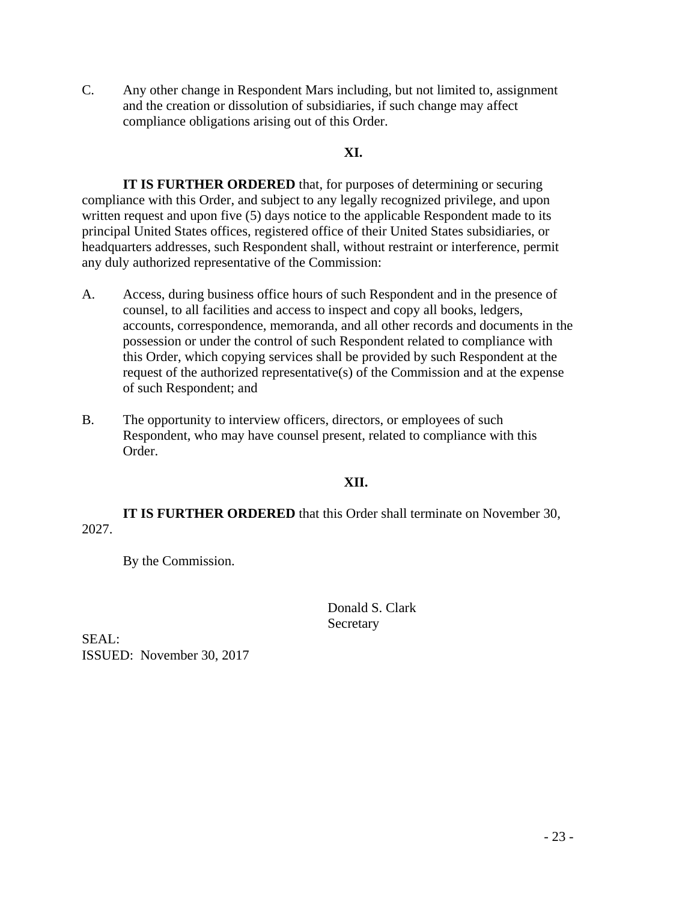C. Any other change in Respondent Mars including, but not limited to, assignment and the creation or dissolution of subsidiaries, if such change may affect compliance obligations arising out of this Order.

## **XI.**

**IT IS FURTHER ORDERED** that, for purposes of determining or securing compliance with this Order, and subject to any legally recognized privilege, and upon written request and upon five (5) days notice to the applicable Respondent made to its principal United States offices, registered office of their United States subsidiaries, or headquarters addresses, such Respondent shall, without restraint or interference, permit any duly authorized representative of the Commission:

- counsel, to all facilities and access to inspect and copy all books, ledgers, this Order, which copying services shall be provided by such Respondent at the A. Access, during business office hours of such Respondent and in the presence of accounts, correspondence, memoranda, and all other records and documents in the possession or under the control of such Respondent related to compliance with request of the authorized representative(s) of the Commission and at the expense of such Respondent; and
- B. The opportunity to interview officers, directors, or employees of such Respondent, who may have counsel present, related to compliance with this Order.

## **XII.**

**IT IS FURTHER ORDERED** that this Order shall terminate on November 30, 2027.

By the Commission.

Donald S. Clark Secretary

SEAL: ISSUED: November 30, 2017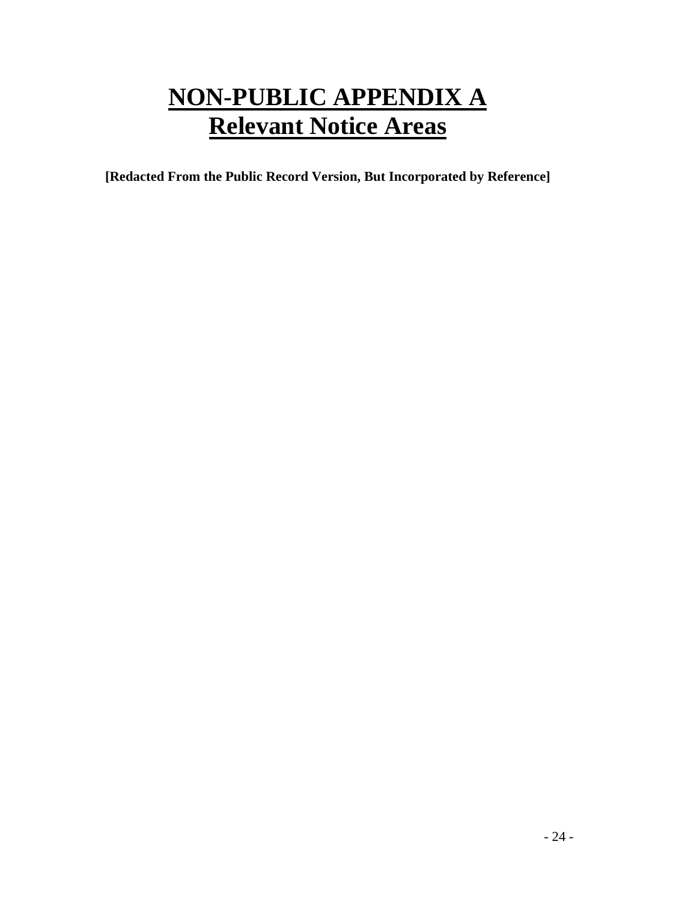## **NON-PUBLIC APPENDIX A Relevant Notice Areas**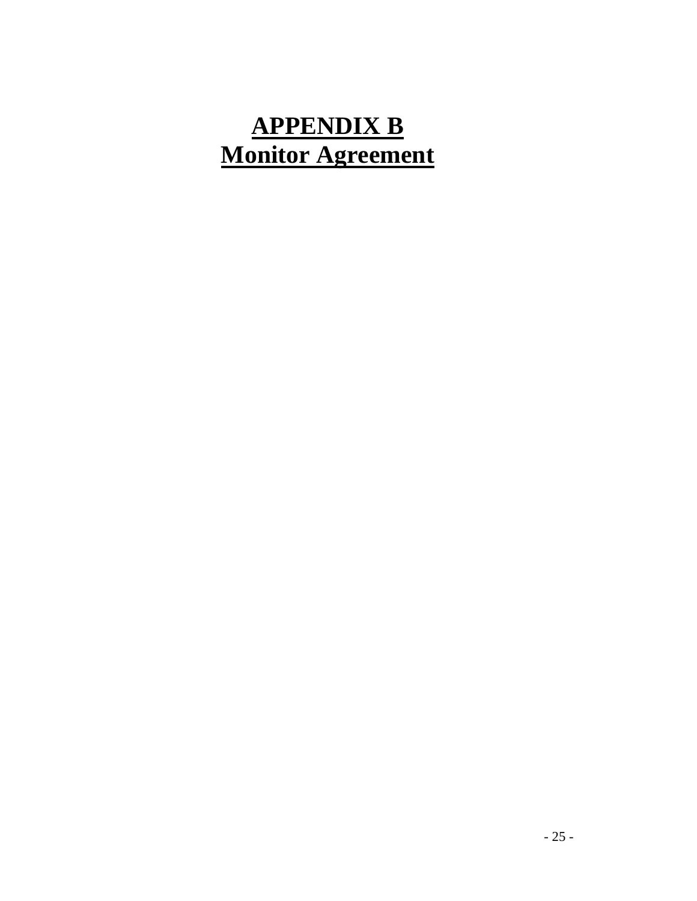# **APPENDIX B Monitor Agreement**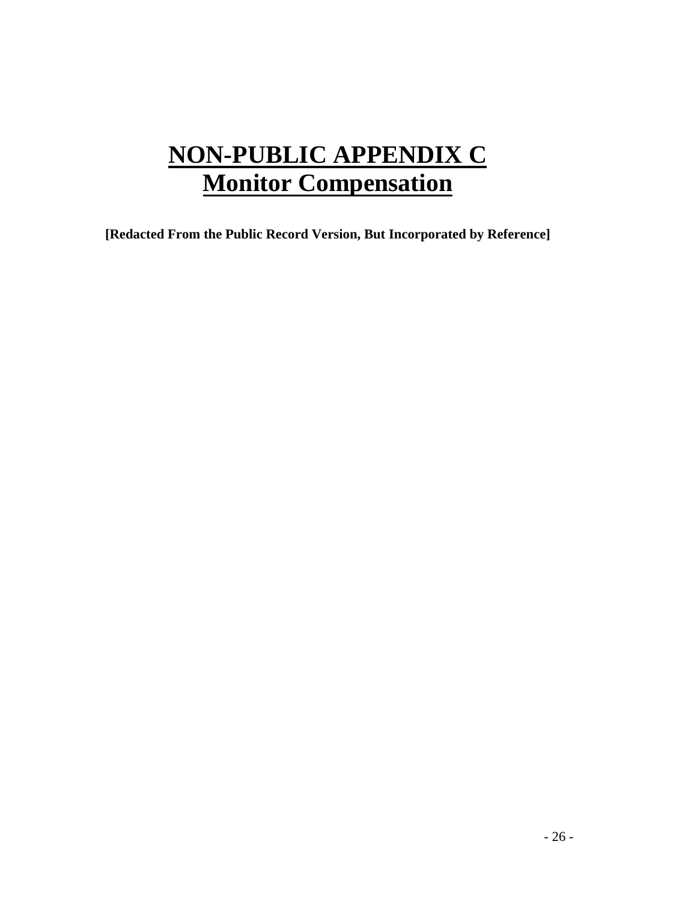# **NON-PUBLIC APPENDIX C Monitor Compensation**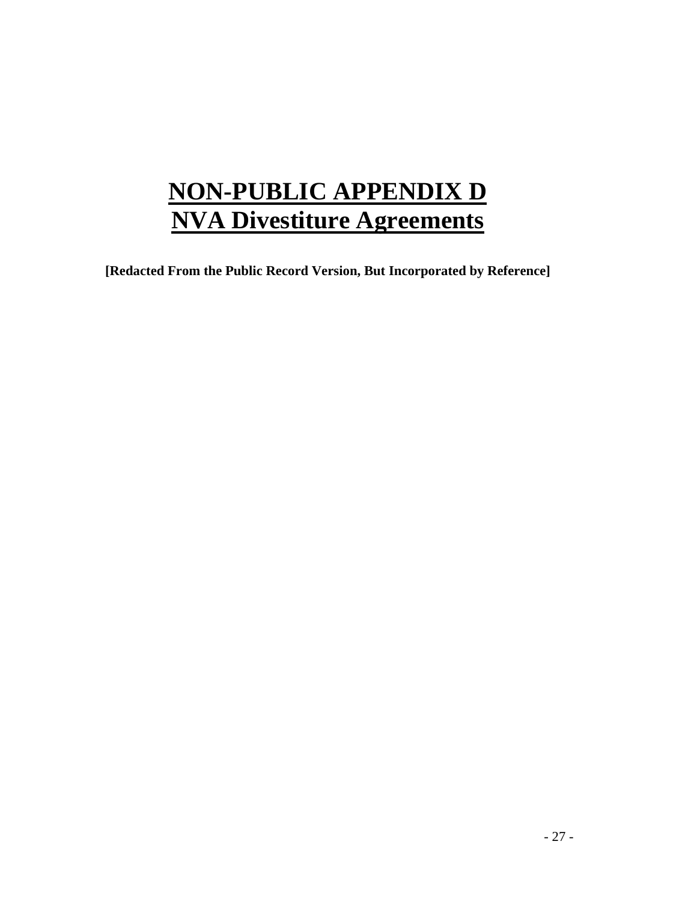# **NON-PUBLIC APPENDIX D NVA Divestiture Agreements**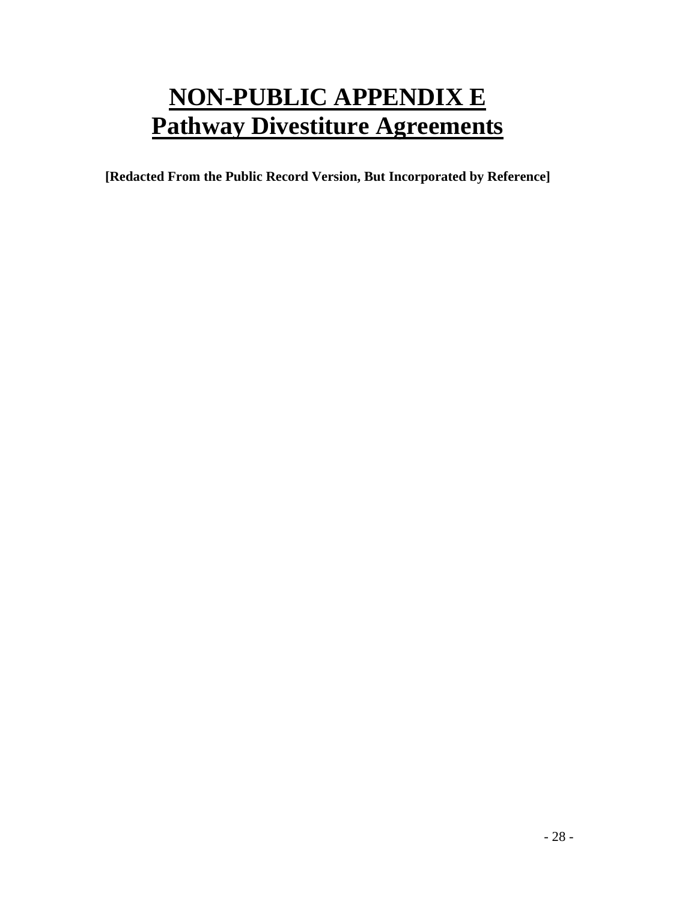# **NON-PUBLIC APPENDIX E Pathway Divestiture Agreements**